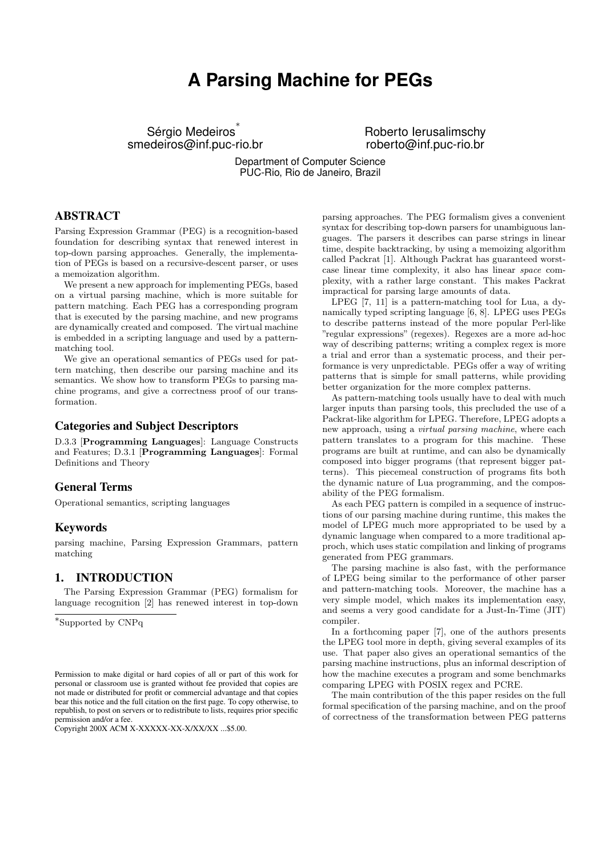# **A Parsing Machine for PEGs**

Sérgio Medeiros<sup>\*</sup> smedeiros@inf.puc-rio.br

Roberto Ierusalimschy roberto@inf.puc-rio.br

Department of Computer Science PUC-Rio, Rio de Janeiro, Brazil

#### ABSTRACT

Parsing Expression Grammar (PEG) is a recognition-based foundation for describing syntax that renewed interest in top-down parsing approaches. Generally, the implementation of PEGs is based on a recursive-descent parser, or uses a memoization algorithm.

We present a new approach for implementing PEGs, based on a virtual parsing machine, which is more suitable for pattern matching. Each PEG has a corresponding program that is executed by the parsing machine, and new programs are dynamically created and composed. The virtual machine is embedded in a scripting language and used by a patternmatching tool.

We give an operational semantics of PEGs used for pattern matching, then describe our parsing machine and its semantics. We show how to transform PEGs to parsing machine programs, and give a correctness proof of our transformation.

## Categories and Subject Descriptors

D.3.3 [Programming Languages]: Language Constructs and Features; D.3.1 [Programming Languages]: Formal Definitions and Theory

## General Terms

Operational semantics, scripting languages

## Keywords

parsing machine, Parsing Expression Grammars, pattern matching

## 1. INTRODUCTION

The Parsing Expression Grammar (PEG) formalism for language recognition [2] has renewed interest in top-down

∗ Supported by CNPq

Copyright 200X ACM X-XXXXX-XX-X/XX/XX ...\$5.00.

parsing approaches. The PEG formalism gives a convenient syntax for describing top-down parsers for unambiguous languages. The parsers it describes can parse strings in linear time, despite backtracking, by using a memoizing algorithm called Packrat [1]. Although Packrat has guaranteed worstcase linear time complexity, it also has linear space complexity, with a rather large constant. This makes Packrat impractical for parsing large amounts of data.

LPEG [7, 11] is a pattern-matching tool for Lua, a dynamically typed scripting language [6, 8]. LPEG uses PEGs to describe patterns instead of the more popular Perl-like "regular expressions" (regexes). Regexes are a more ad-hoc way of describing patterns; writing a complex regex is more a trial and error than a systematic process, and their performance is very unpredictable. PEGs offer a way of writing patterns that is simple for small patterns, while providing better organization for the more complex patterns.

As pattern-matching tools usually have to deal with much larger inputs than parsing tools, this precluded the use of a Packrat-like algorithm for LPEG. Therefore, LPEG adopts a new approach, using a virtual parsing machine, where each pattern translates to a program for this machine. These programs are built at runtime, and can also be dynamically composed into bigger programs (that represent bigger patterns). This piecemeal construction of programs fits both the dynamic nature of Lua programming, and the composability of the PEG formalism.

As each PEG pattern is compiled in a sequence of instructions of our parsing machine during runtime, this makes the model of LPEG much more appropriated to be used by a dynamic language when compared to a more traditional approch, which uses static compilation and linking of programs generated from PEG grammars.

The parsing machine is also fast, with the performance of LPEG being similar to the performance of other parser and pattern-matching tools. Moreover, the machine has a very simple model, which makes its implementation easy, and seems a very good candidate for a Just-In-Time (JIT) compiler.

In a forthcoming paper [7], one of the authors presents the LPEG tool more in depth, giving several examples of its use. That paper also gives an operational semantics of the parsing machine instructions, plus an informal description of how the machine executes a program and some benchmarks comparing LPEG with POSIX regex and PCRE.

The main contribution of the this paper resides on the full formal specification of the parsing machine, and on the proof of correctness of the transformation between PEG patterns

Permission to make digital or hard copies of all or part of this work for personal or classroom use is granted without fee provided that copies are not made or distributed for profit or commercial advantage and that copies bear this notice and the full citation on the first page. To copy otherwise, to republish, to post on servers or to redistribute to lists, requires prior specific permission and/or a fee.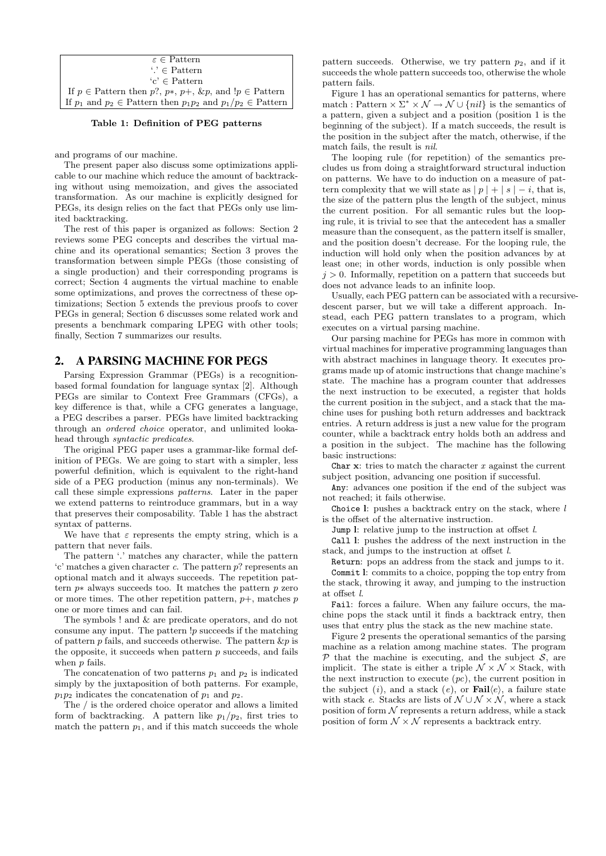| $\varepsilon \in$ Pattern                                              |
|------------------------------------------------------------------------|
| $\cdot$ $\in$ Pattern                                                  |
| $c' \in$ Pattern                                                       |
| If $p \in$ Pattern then p?, p*, p+, &p, and $!p \in$ Pattern           |
|                                                                        |
| If $p_1$ and $p_2 \in$ Pattern then $p_1p_2$ and $p_1/p_2 \in$ Pattern |

#### Table 1: Definition of PEG patterns

and programs of our machine.

The present paper also discuss some optimizations applicable to our machine which reduce the amount of backtracking without using memoization, and gives the associated transformation. As our machine is explicitly designed for PEGs, its design relies on the fact that PEGs only use limited backtracking.

The rest of this paper is organized as follows: Section 2 reviews some PEG concepts and describes the virtual machine and its operational semantics; Section 3 proves the transformation between simple PEGs (those consisting of a single production) and their corresponding programs is correct; Section 4 augments the virtual machine to enable some optimizations, and proves the correctness of these optimizations; Section 5 extends the previous proofs to cover PEGs in general; Section 6 discusses some related work and presents a benchmark comparing LPEG with other tools; finally, Section 7 summarizes our results.

### 2. A PARSING MACHINE FOR PEGS

Parsing Expression Grammar (PEGs) is a recognitionbased formal foundation for language syntax [2]. Although PEGs are similar to Context Free Grammars (CFGs), a key difference is that, while a CFG generates a language, a PEG describes a parser. PEGs have limited backtracking through an ordered choice operator, and unlimited lookahead through syntactic predicates.

The original PEG paper uses a grammar-like formal definition of PEGs. We are going to start with a simpler, less powerful definition, which is equivalent to the right-hand side of a PEG production (minus any non-terminals). We call these simple expressions patterns. Later in the paper we extend patterns to reintroduce grammars, but in a way that preserves their composability. Table 1 has the abstract syntax of patterns.

We have that  $\varepsilon$  represents the empty string, which is a pattern that never fails.

The pattern '.' matches any character, while the pattern  $\mathcal{C}'$  matches a given character c. The pattern  $p$ ? represents an optional match and it always succeeds. The repetition pattern p∗ always succeeds too. It matches the pattern p zero or more times. The other repetition pattern,  $p+$ , matches p one or more times and can fail.

The symbols ! and & are predicate operators, and do not consume any input. The pattern !p succeeds if the matching of pattern  $p$  fails, and succeeds otherwise. The pattern  $\&p$  is the opposite, it succeeds when pattern  $p$  succeeds, and fails when  $p$  fails.

The concatenation of two patterns  $p_1$  and  $p_2$  is indicated simply by the juxtaposition of both patterns. For example,  $p_1p_2$  indicates the concatenation of  $p_1$  and  $p_2$ .

The / is the ordered choice operator and allows a limited form of backtracking. A pattern like  $p_1/p_2$ , first tries to match the pattern  $p_1$ , and if this match succeeds the whole

pattern succeeds. Otherwise, we try pattern  $p_2$ , and if it succeeds the whole pattern succeeds too, otherwise the whole pattern fails.

Figure 1 has an operational semantics for patterns, where match : Pattern  $\times \Sigma^* \times \mathcal{N} \to \mathcal{N} \cup \{nil\}$  is the semantics of a pattern, given a subject and a position (position 1 is the beginning of the subject). If a match succeeds, the result is the position in the subject after the match, otherwise, if the match fails, the result is *nil*.

The looping rule (for repetition) of the semantics precludes us from doing a straightforward structural induction on patterns. We have to do induction on a measure of pattern complexity that we will state as  $|p| + |s| - i$ , that is, the size of the pattern plus the length of the subject, minus the current position. For all semantic rules but the looping rule, it is trivial to see that the antecedent has a smaller measure than the consequent, as the pattern itself is smaller, and the position doesn't decrease. For the looping rule, the induction will hold only when the position advances by at least one; in other words, induction is only possible when  $j > 0$ . Informally, repetition on a pattern that succeeds but does not advance leads to an infinite loop.

Usually, each PEG pattern can be associated with a recursivedescent parser, but we will take a different approach. Instead, each PEG pattern translates to a program, which executes on a virtual parsing machine.

Our parsing machine for PEGs has more in common with virtual machines for imperative programming languages than with abstract machines in language theory. It executes programs made up of atomic instructions that change machine's state. The machine has a program counter that addresses the next instruction to be executed, a register that holds the current position in the subject, and a stack that the machine uses for pushing both return addresses and backtrack entries. A return address is just a new value for the program counter, while a backtrack entry holds both an address and a position in the subject. The machine has the following basic instructions:

Char  $x$ : tries to match the character  $x$  against the current subject position, advancing one position if successful.

Any: advances one position if the end of the subject was not reached; it fails otherwise.

Choice  $l$ : pushes a backtrack entry on the stack, where  $l$ is the offset of the alternative instruction.

Jump l: relative jump to the instruction at offset l.

Call l: pushes the address of the next instruction in the stack, and jumps to the instruction at offset l.

Return: pops an address from the stack and jumps to it.

Commit l: commits to a choice, popping the top entry from the stack, throwing it away, and jumping to the instruction at offset l.

Fail: forces a failure. When any failure occurs, the machine pops the stack until it finds a backtrack entry, then uses that entry plus the stack as the new machine state.

Figure 2 presents the operational semantics of the parsing machine as a relation among machine states. The program  $P$  that the machine is executing, and the subject  $S$ , are implicit. The state is either a triple  $\mathcal{N} \times \mathcal{N} \times$  Stack, with the next instruction to execute  $(pc)$ , the current position in the subject (*i*), and a stack (*e*), or **Fail** $\langle e \rangle$ , a failure state with stack e. Stacks are lists of  $N \cup N \times N$ , where a stack position of form  $N$  represents a return address, while a stack position of form  $\mathcal{N} \times \mathcal{N}$  represents a backtrack entry.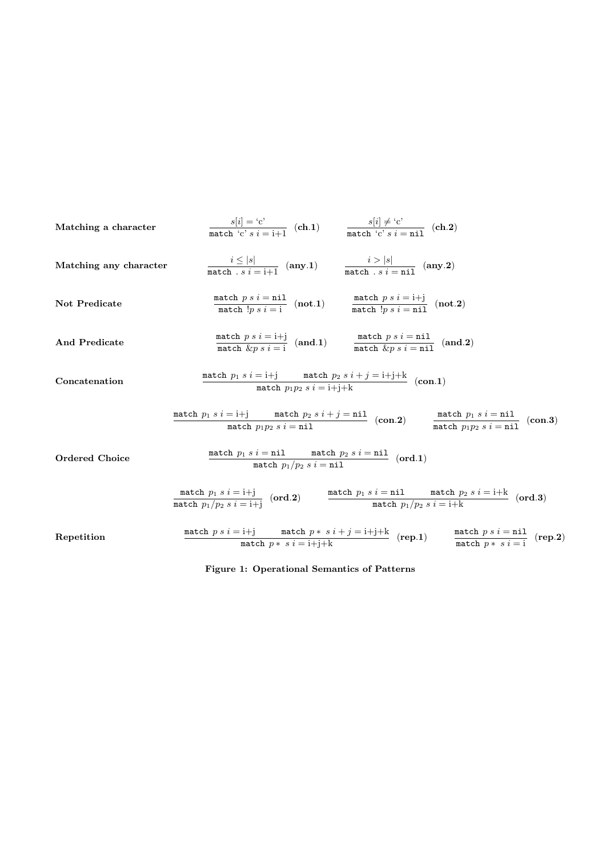| Matching a character   | $\frac{s[i] = 'c'}{\text{match} (c', s, i = i+1)}$ (ch.1) $\frac{s[i] \neq 'c'}{\text{match} (c', s, i = n i)}$ (ch.2)                                                                                                                                                                                                  |                                                                                                                                                                                                                                                                                                                                                                                                                   |
|------------------------|-------------------------------------------------------------------------------------------------------------------------------------------------------------------------------------------------------------------------------------------------------------------------------------------------------------------------|-------------------------------------------------------------------------------------------------------------------------------------------------------------------------------------------------------------------------------------------------------------------------------------------------------------------------------------------------------------------------------------------------------------------|
| Matching any character | $\frac{i \leq  s }{\text{match} \cdot s \cdot i = i+1} \quad \text{(any.1)}$                                                                                                                                                                                                                                            | $\frac{i> s }{\text{match} \quad s \quad i-\text{nil}} \quad \text{(any.2)}$                                                                                                                                                                                                                                                                                                                                      |
| <b>Not Predicate</b>   |                                                                                                                                                                                                                                                                                                                         | $\frac{\text{match } p s i = \text{nil}}{\text{match } \ln s i = \text{i}} \quad (\text{not.1}) \qquad \frac{\text{match } p s i = \text{i+j}}{\text{match } \ln s i = \text{nil}} \quad (\text{not.2})$                                                                                                                                                                                                          |
| And Predicate          |                                                                                                                                                                                                                                                                                                                         | $\begin{array}{ll}\n\text{match } p \ s \ i = \text{i+j} \\ \text{match } \& p \ s \ i = \text{i}\n\end{array} \text{ (and.1)} \qquad \begin{array}{ll}\n\text{match } p \ s \ i = \text{nil} \\ \text{match } \& p \ s \ i = \text{nil}\n\end{array} \text{ (and.2)}$                                                                                                                                            |
| Concatenation          | $\begin{tabular}{ll} \underline{match} \ p_1 \ s \ i = \mathrm{i} + \mathrm{j} & \text{match} \ p_2 \ s \ i + j = \mathrm{i} + \mathrm{j} + \mathrm{k} \\ \underline{\hspace{15pt}\text{match}} \ p_1 p_2 \ s \ i = \mathrm{i} + \mathrm{j} + \mathrm{k} \end{tabular} \quad \left( \text{con.1} \right) \end{tabular}$ |                                                                                                                                                                                                                                                                                                                                                                                                                   |
|                        |                                                                                                                                                                                                                                                                                                                         | $\begin{array}{ll}\text{match}\ \ p_1\ s\ i = \mathrm{i} + \mathrm{j} & \text{match}\ p_2\ s\ i + \mathrm{j} = \mathrm{nil} \\ \text{match}\ \ p_1p_2\ s\ i = \mathrm{nil} & \text{(con.2)}\\ \end{array}\qquad \begin{array}{ll}\text{match}\ \ p_1\ s\ i = \mathrm{nil} \\ \text{match}\ \ p_1p_2\ s\ i = \mathrm{nil} \end{array}\ (\mathrm{con.3})$                                                           |
| <b>Ordered Choice</b>  | match $p_1 s i = \text{nil}$ match $p_2 s i = \text{nil}$ (ord.1)<br>match $p_1/p_2 s i = \text{nil}$ (ord.1)                                                                                                                                                                                                           |                                                                                                                                                                                                                                                                                                                                                                                                                   |
|                        | match $p_1 s i = i+j$<br>match $p_1/p_2 s i = i+i$ (ord.2)                                                                                                                                                                                                                                                              |                                                                                                                                                                                                                                                                                                                                                                                                                   |
| Repetition             |                                                                                                                                                                                                                                                                                                                         | $\begin{array}{ll}\texttt{match} \ p \ s \ i = \texttt{i} + \texttt{j} & \texttt{match} \ p * \ s \ i + \texttt{j} = \texttt{i} + \texttt{j} + \texttt{k} \\ & \texttt{match} \ p * \ s \ i = \texttt{i} + \texttt{j} + \texttt{k} \end{array} \ (\texttt{rep.1}) \qquad \begin{array}{ll} \texttt{match} \ p \ s \ i = \texttt{nil} \\ \texttt{match} \ p * \ s \ i = \texttt{i} \end{array} \ (\texttt{rep.2})$ |
|                        |                                                                                                                                                                                                                                                                                                                         |                                                                                                                                                                                                                                                                                                                                                                                                                   |

Figure 1: Operational Semantics of Patterns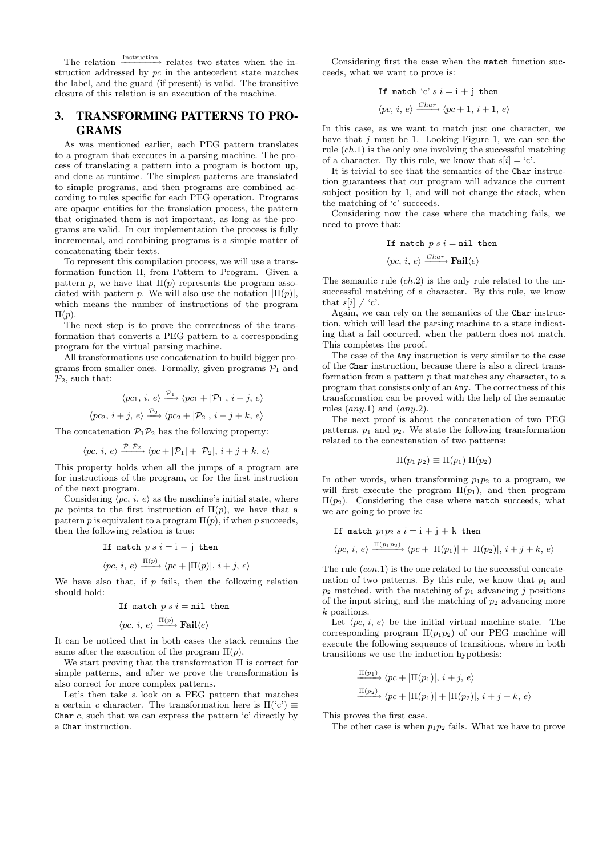The relation  $\frac{\text{Instruction}}{\text{1}}$  relates two states when the instruction addressed by pc in the antecedent state matches the label, and the guard (if present) is valid. The transitive closure of this relation is an execution of the machine.

## 3. TRANSFORMING PATTERNS TO PRO-GRAMS

As was mentioned earlier, each PEG pattern translates to a program that executes in a parsing machine. The process of translating a pattern into a program is bottom up, and done at runtime. The simplest patterns are translated to simple programs, and then programs are combined according to rules specific for each PEG operation. Programs are opaque entities for the translation process, the pattern that originated them is not important, as long as the programs are valid. In our implementation the process is fully incremental, and combining programs is a simple matter of concatenating their texts.

To represent this compilation process, we will use a transformation function Π, from Pattern to Program. Given a pattern p, we have that  $\Pi(p)$  represents the program associated with pattern p. We will also use the notation  $|\Pi(p)|$ , which means the number of instructions of the program  $\Pi(p)$ .

The next step is to prove the correctness of the transformation that converts a PEG pattern to a corresponding program for the virtual parsing machine.

All transformations use concatenation to build bigger programs from smaller ones. Formally, given programs  $\mathcal{P}_1$  and  $\mathcal{P}_2$ , such that:

$$
\langle pc_1, i, e \rangle \xrightarrow{\mathcal{P}_1} \langle pc_1 + |\mathcal{P}_1|, i + j, e \rangle
$$
  

$$
\langle pc_2, i + j, e \rangle \xrightarrow{\mathcal{P}_2} \langle pc_2 + |\mathcal{P}_2|, i + j + k, e \rangle
$$

The concatenation  $\mathcal{P}_1 \mathcal{P}_2$  has the following property:

$$
\langle pc, i, e \rangle \xrightarrow{\mathcal{P}_1 \mathcal{P}_2} \langle pc + |\mathcal{P}_1| + |\mathcal{P}_2|, i + j + k, e \rangle
$$

This property holds when all the jumps of a program are for instructions of the program, or for the first instruction of the next program.

Considering  $\langle pc, i, e \rangle$  as the machine's initial state, where pc points to the first instruction of  $\Pi(p)$ , we have that a pattern p is equivalent to a program  $\Pi(p)$ , if when p succeeds, then the following relation is true:

If match 
$$
p s i = i + j
$$
 then  

$$
\Pi(n)
$$

$$
\langle pc, i, e \rangle \xrightarrow{\Pi(p)} \langle pc + |\Pi(p)|, i+j, e \rangle
$$

We have also that, if  $p$  fails, then the following relation should hold:

If match 
$$
p s i = \text{nil}
$$
 then

$$
\langle pc, i, e \rangle \xrightarrow{\Pi(p)} \textbf{Fail} \langle e \rangle
$$

It can be noticed that in both cases the stack remains the same after the execution of the program  $\Pi(p)$ .

We start proving that the transformation Π is correct for simple patterns, and after we prove the transformation is also correct for more complex patterns.

Let's then take a look on a PEG pattern that matches a certain c character. The transformation here is  $\Pi({\bf c}) \equiv$ Char  $c$ , such that we can express the pattern 'c' directly by a Char instruction.

Considering first the case when the match function succeeds, what we want to prove is:

If match 'c' s 
$$
i = i + j
$$
 then  
\n $\langle pc, i, e \rangle \xrightarrow{Char} \langle pc + 1, i + 1, e \rangle$ 

In this case, as we want to match just one character, we have that  $j$  must be 1. Looking Figure 1, we can see the rule (ch.1) is the only one involving the successful matching of a character. By this rule, we know that  $s[i] = 'c'.$ 

It is trivial to see that the semantics of the Char instruction guarantees that our program will advance the current subject position by 1, and will not change the stack, when the matching of 'c' succeeds.

Considering now the case where the matching fails, we need to prove that:

If match 
$$
p s i = \text{nil}
$$
 then  
 $\langle pc, i, e \rangle \xrightarrow{Char}$  **Fail** $\langle e \rangle$ 

The semantic rule  $(ch.2)$  is the only rule related to the unsuccessful matching of a character. By this rule, we know that  $s[i] \neq 'c'.$ 

Again, we can rely on the semantics of the Char instruction, which will lead the parsing machine to a state indicating that a fail occurred, when the pattern does not match. This completes the proof.

The case of the Any instruction is very similar to the case of the Char instruction, because there is also a direct transformation from a pattern  $p$  that matches any character, to a program that consists only of an Any. The correctness of this transformation can be proved with the help of the semantic rules  $(any.1)$  and  $(any.2)$ .

The next proof is about the concatenation of two PEG patterns,  $p_1$  and  $p_2$ . We state the following transformation related to the concatenation of two patterns:

$$
\Pi(p_1 p_2) \equiv \Pi(p_1) \Pi(p_2)
$$

In other words, when transforming  $p_1p_2$  to a program, we will first execute the program  $\Pi(p_1)$ , and then program  $\Pi(p_2)$ . Considering the case where match succeeds, what we are going to prove is:

If match 
$$
p_1p_2
$$
 s  $i = i + j + k$  then  
\n $\langle pc, i, e \rangle \xrightarrow{\Pi(p_1p_2)} \langle pc + |\Pi(p_1)| + |\Pi(p_2)|, i + j + k, e \rangle$ 

The rule  $(con.1)$  is the one related to the successful concatenation of two patterns. By this rule, we know that  $p_1$  and  $p_2$  matched, with the matching of  $p_1$  advancing j positions of the input string, and the matching of  $p_2$  advancing more k positions.

Let  $\langle pc, i, e \rangle$  be the initial virtual machine state. The corresponding program  $\Pi(p_1p_2)$  of our PEG machine will execute the following sequence of transitions, where in both transitions we use the induction hypothesis:

$$
\frac{\Pi(p_1)}{\Pi(p_2)} \langle pc + |\Pi(p_1)|, i+j, e \rangle
$$
  

$$
\frac{\Pi(p_2)}{\Pi(p_2)} \langle pc + |\Pi(p_1)| + |\Pi(p_2)|, i+j+k, e \rangle
$$

This proves the first case.

The other case is when  $p_1p_2$  fails. What we have to prove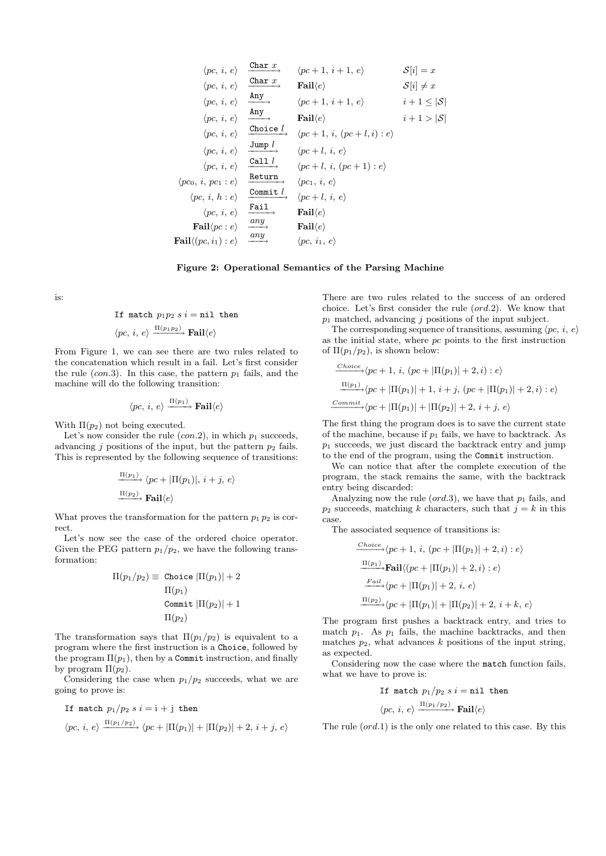$$
\langle pc, i, e \rangle
$$
\n
$$
\frac{\text{Char } x}{\langle pc, i, e \rangle}
$$
\n
$$
\frac{\text{Char } x}{\langle pc, i, e \rangle}
$$
\n
$$
\frac{\text{In } x}{\langle pc, i, e \rangle}
$$
\n
$$
\frac{\text{In } y}{\langle pc, i, e \rangle}
$$
\n
$$
\frac{\text{In } y}{\langle pc, i, e \rangle}
$$
\n
$$
\frac{\text{In } y}{\langle pc, i, e \rangle}
$$
\n
$$
\frac{\text{In } y}{\langle pc, i, e \rangle}
$$
\n
$$
\frac{\text{In } y}{\langle pc, i, e \rangle}
$$
\n
$$
\frac{\text{In } y}{\langle pc, i, e \rangle}
$$
\n
$$
\frac{\text{In } y}{\langle pc, i, e \rangle}
$$
\n
$$
\frac{\text{In } y}{\langle pc, i, e \rangle}
$$
\n
$$
\frac{\text{In } y}{\langle pc, i, e \rangle}
$$
\n
$$
\frac{\text{In } y}{\langle pc, i, e \rangle}
$$
\n
$$
\frac{\text{In } y}{\langle pc, i, e \rangle}
$$
\n
$$
\frac{\text{In } y}{\langle pc, i, e \rangle}
$$
\n
$$
\frac{\text{In } y}{\langle pc, i, e \rangle}
$$
\n
$$
\frac{\text{In } y}{\langle pc, i, e \rangle}
$$
\n
$$
\frac{\text{In } y}{\langle pc, i, e \rangle}
$$
\n
$$
\frac{\text{In } y}{\langle pc, i, e \rangle}
$$
\n
$$
\frac{\text{In } y}{\langle pc, i, e \rangle}
$$
\n
$$
\frac{\text{In } y}{\langle pc, i, e \rangle}
$$
\n
$$
\frac{\text{In } y}{\langle pc, i, e \rangle}
$$
\n
$$
\frac{\text{In } y}{\langle pc, i, e \rangle}
$$
\n
$$
\frac{\text{In } y}{\langle pc, i, e \rangle}
$$
\n
$$
\frac{\text{In } y}{\langle pc, i, e \rangle}
$$
\n
$$
\frac{\text{In } y}{\langle pc, i, e \rangle}
$$
\n
$$
\frac{\text{In } y}{\langle pc, i, e \rangle}
$$
\n
$$
\frac{\text{In } y}{\langle pc,
$$

Figure 2: Operational Semantics of the Parsing Machine

is:

If match 
$$
p_1p_2
$$
 s  $i =$  nil then  
\n $\langle pc, i, e \rangle \frac{\Pi(p_1p_2)}{\Pi(p_1p_2)} \text{Fail}(e)$ 

From Figure 1, we can see there are two rules related to the concatenation which result in a fail. Let's first consider the rule (con.3). In this case, the pattern  $p_1$  fails, and the machine will do the following transition:

$$
\langle pc, i, e \rangle \xrightarrow{\Pi(p_1)} \text{Fail}\langle e \rangle
$$

With  $\Pi(p_2)$  not being executed.

Let's now consider the rule  $(con.2)$ , in which  $p_1$  succeeds, advancing j positions of the input, but the pattern  $p_2$  fails. This is represented by the following sequence of transitions:

$$
\frac{\Pi(p_1)}{\Pi(p_2)} \langle pc + |\Pi(p_1)|, i + j, e \rangle
$$
  

$$
\frac{\Pi(p_2)}{\Pi(p_2)} \text{Fail}\langle e \rangle
$$

What proves the transformation for the pattern  $p_1$   $p_2$  is correct.

Let's now see the case of the ordered choice operator. Given the PEG pattern  $p_1/p_2$ , we have the following transformation:

$$
\Pi(p_1/p_2) \equiv \text{ Choice } |\Pi(p_1)| + 2
$$

$$
\Pi(p_1)
$$

$$
\text{Commit } |\Pi(p_2)| + 1
$$

$$
\Pi(p_2)
$$

The transformation says that  $\Pi(p_1/p_2)$  is equivalent to a program where the first instruction is a Choice, followed by the program  $\Pi(p_1)$ , then by a Commit instruction, and finally by program  $\Pi(p_2)$ .

Considering the case when  $p_1/p_2$  succeeds, what we are going to prove is:

If match 
$$
p_1/p_2
$$
 s  $i = i + j$  then  
\n
$$
\langle pc, i, e \rangle \xrightarrow{\Pi(p_1/p_2)} \langle pc + |\Pi(p_1)| + |\Pi(p_2)| + 2, i + j, e \rangle
$$

There are two rules related to the success of an ordered choice. Let's first consider the rule (ord.2). We know that  $p_1$  matched, advancing j positions of the input subject.

The corresponding sequence of transitions, assuming  $\langle pc, i, e \rangle$ as the initial state, where pc points to the first instruction of  $\Pi(p_1/p_2)$ , is shown below:

$$
\frac{Choice}{\longrightarrow} \langle pc + 1, i, (pc + |\Pi(p_1)| + 2, i) : e \rangle
$$
  

$$
\frac{\Pi(p_1)}{\longrightarrow} \langle pc + |\Pi(p_1)| + 1, i + j, (pc + |\Pi(p_1)| + 2, i) : e \rangle
$$
  

$$
\frac{Commit}{\longrightarrow} \langle pc + |\Pi(p_1)| + |\Pi(p_2)| + 2, i + j, e \rangle
$$

The first thing the program does is to save the current state of the machine, because if  $p_1$  fails, we have to backtrack. As  $p_1$  succeeds, we just discard the backtrack entry and jump to the end of the program, using the Commit instruction.

We can notice that after the complete execution of the program, the stack remains the same, with the backtrack entry being discarded:

Analyzing now the rule  $(ord.3)$ , we have that  $p_1$  fails, and  $p_2$  succeeds, matching k characters, such that  $j = k$  in this case.

The associated sequence of transitions is:

$$
\frac{Choice}{\longrightarrow} \langle pc+1, i, (pc+|\Pi(p_1)|+2, i) : e \rangle
$$
  

$$
\frac{\Pi(p_1)}{\longrightarrow} \text{Fail} \langle (pc+|\Pi(p_1)|+2, i) : e \rangle
$$
  

$$
\frac{Fail}{\longrightarrow} \langle pc+|\Pi(p_1)|+2, i, e \rangle
$$
  

$$
\frac{\Pi(p_2)}{\longrightarrow} \langle pc+|\Pi(p_1)|+|\Pi(p_2)|+2, i+k, e \rangle
$$

The program first pushes a backtrack entry, and tries to match  $p_1$ . As  $p_1$  fails, the machine backtracks, and then matches  $p_2$ , what advances k positions of the input string, as expected.

Considering now the case where the match function fails, what we have to prove is:

If match 
$$
p_1/p_2
$$
 s  $i =$  nil then

$$
\langle pc, i, e \rangle \xrightarrow{\Pi(p_1/p_2)} \text{Fail}\langle e \rangle
$$

The rule (ord.1) is the only one related to this case. By this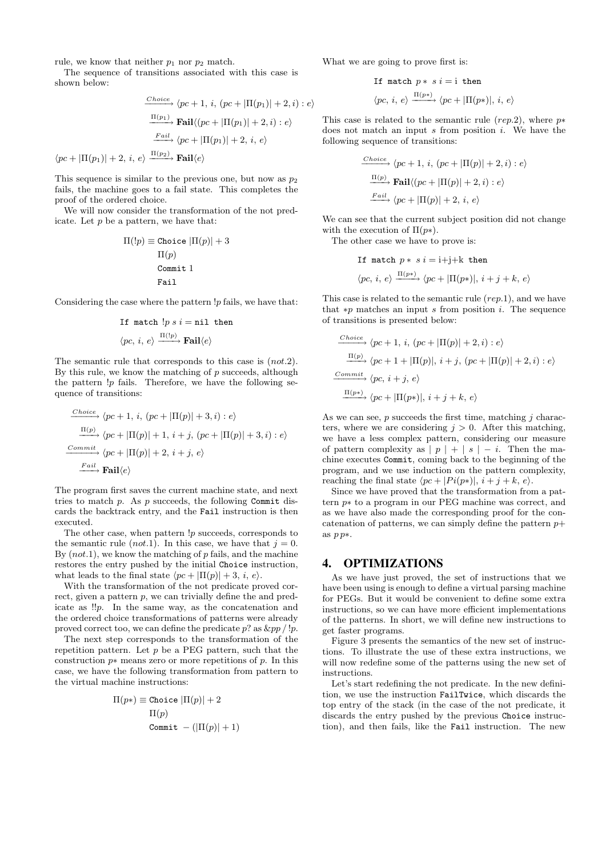rule, we know that neither  $p_1$  nor  $p_2$  match.

The sequence of transitions associated with this case is shown below:

$$
\frac{Choice}{m} \langle pc + 1, i, (pc + |\Pi(p_1)| + 2, i) : e \rangle
$$

$$
\frac{\Pi(p_1)}{\Pi(p_2)} \text{Tail}\langle (pc + |\Pi(p_1)| + 2, i) : e \rangle
$$

$$
\frac{Fall}{m} \langle pc + |\Pi(p_1)| + 2, i, e \rangle
$$

 $\langle pc + |\Pi(p_1)| + 2, i, e \rangle \xrightarrow{\Pi(p_2)} \textbf{Fail}\langle e \rangle$ 

This sequence is similar to the previous one, but now as  $p_2$ fails, the machine goes to a fail state. This completes the proof of the ordered choice.

We will now consider the transformation of the not predicate. Let  $p$  be a pattern, we have that:

$$
\Pi(!p) \equiv \text{Choice } |\Pi(p)| + 3
$$

$$
\Pi(p)
$$

$$
\text{Commit 1}
$$

$$
\text{Fail}
$$

Considering the case where the pattern !p fails, we have that:

If match 
$$
\{p \ s \ i = \text{nil} \ \text{then} \}
$$
  
 $\langle pc, i, e \rangle \xrightarrow{\Pi(\{p\})} \text{Tail}\langle e \rangle$ 

The semantic rule that corresponds to this case is (not.2). By this rule, we know the matching of  $p$  succeeds, although the pattern  $\mathfrak{p}$  fails. Therefore, we have the following sequence of transitions:

$$
\frac{Choice}{\longrightarrow} \langle pc+1, i, (pc+|\Pi(p)|+3, i) : e \rangle
$$
  
\n
$$
\xrightarrow{\Pi(p)} \langle pc+|\Pi(p)|+1, i+j, (pc+|\Pi(p)|+3, i) : e \rangle
$$
  
\n
$$
\xrightarrow{Commit} \langle pc+|\Pi(p)|+2, i+j, e \rangle
$$
  
\n
$$
\xrightarrow{Fall} \text{Fail}(e)
$$

The program first saves the current machine state, and next tries to match  $p$ . As  $p$  succeeds, the following Commit discards the backtrack entry, and the Fail instruction is then executed.

The other case, when pattern  $\n \lvert p \rvert$  succeeds, corresponds to the semantic rule  $(not.1)$ . In this case, we have that  $j = 0$ . By  $(not.1)$ , we know the matching of p fails, and the machine restores the entry pushed by the initial Choice instruction, what leads to the final state  $\langle pc + |\Pi(p)| + 3, i, e \rangle$ .

With the transformation of the not predicate proved correct, given a pattern p, we can trivially define the and predicate as !!p. In the same way, as the concatenation and the ordered choice transformations of patterns were already proved correct too, we can define the predicate p? as  $\&pp/!p$ .

The next step corresponds to the transformation of the repetition pattern. Let  $p$  be a PEG pattern, such that the construction  $p*$  means zero or more repetitions of  $p$ . In this case, we have the following transformation from pattern to the virtual machine instructions:

$$
\Pi(p*) \equiv \text{Choice } |\Pi(p)| + 2
$$

$$
\Pi(p)
$$

$$
\text{Commit } -(|\Pi(p)| + 1)
$$

What we are going to prove first is:

If match 
$$
p * s i = i
$$
 then  
\n $\langle pc, i, e \rangle \xrightarrow{\Pi(p*)} \langle pc + |\Pi(p*)|, i, e \rangle$ 

This case is related to the semantic rule  $(rep.2)$ , where  $p*$ does not match an input  $s$  from position  $i$ . We have the following sequence of transitions:

$$
\frac{Choice}{\longrightarrow} \langle pc+1, i, (pc+|\Pi(p)|+2, i) : e \rangle
$$

$$
\frac{\Pi(p)}{\longrightarrow} \text{Fail}\langle (pc+|\Pi(p)|+2, i) : e \rangle
$$

$$
\frac{Fail}{\longrightarrow} \langle pc+|\Pi(p)|+2, i, e \rangle
$$

We can see that the current subject position did not change with the execution of  $\Pi(p*)$ .

The other case we have to prove is:

If match 
$$
p * s i = i+j+k
$$
 then  
\n $\langle pc, i, e \rangle \xrightarrow{\Pi(p*)} \langle pc + |\Pi(p*)|, i+j+k, e \rangle$ 

This case is related to the semantic rule (rep.1), and we have that  $\ast p$  matches an input s from position i. The sequence of transitions is presented below:

$$
\frac{Choice}{\longrightarrow} \langle pc+1, i, (pc+|\Pi(p)|+2, i) : e \rangle
$$
  

$$
\frac{\Pi(p)}{\longrightarrow} \langle pc+1+|\Pi(p)|, i+j, (pc+|\Pi(p)|+2, i) : e \rangle
$$
  

$$
\frac{Commit}{\longrightarrow} \langle pc, i+j, e \rangle
$$
  

$$
\frac{\Pi(p*)}{\longrightarrow} \langle pc+|\Pi(p*)|, i+j+k, e \rangle
$$

As we can see,  $p$  succeeds the first time, matching  $j$  characters, where we are considering  $j > 0$ . After this matching, we have a less complex pattern, considering our measure of pattern complexity as  $|p| + |s| - i$ . Then the machine executes Commit, coming back to the beginning of the program, and we use induction on the pattern complexity, reaching the final state  $\langle pc + |Pi(p*)|, i + j + k, e \rangle$ .

Since we have proved that the transformation from a pattern p∗ to a program in our PEG machine was correct, and as we have also made the corresponding proof for the concatenation of patterns, we can simply define the pattern  $p+$ as p p∗.

## 4. OPTIMIZATIONS

As we have just proved, the set of instructions that we have been using is enough to define a virtual parsing machine for PEGs. But it would be convenient to define some extra instructions, so we can have more efficient implementations of the patterns. In short, we will define new instructions to get faster programs.

Figure 3 presents the semantics of the new set of instructions. To illustrate the use of these extra instructions, we will now redefine some of the patterns using the new set of instructions.

Let's start redefining the not predicate. In the new definition, we use the instruction FailTwice, which discards the top entry of the stack (in the case of the not predicate, it discards the entry pushed by the previous Choice instruction), and then fails, like the Fail instruction. The new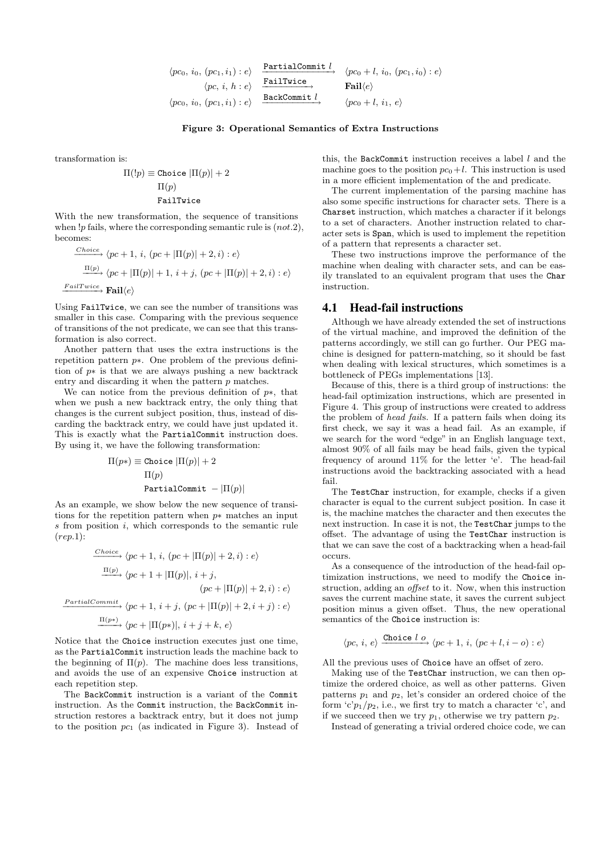```
\langle pc_0, i_0, (pc_1, i_1) : e \ranglePartialCommit l \langle pc_0+l, i_0, (pc_1, i_0) : e \rangle\langle pc, i, h : e \rangle\overrightarrow{\text{FailTwice}} \overrightarrow{\text{Fail}}(e)\langle pc_0, i_0, (pc_1, i_1) : e \rangleBackCommit l \langle pc_0+l, i_1, e \rangle
```
#### Figure 3: Operational Semantics of Extra Instructions

transformation is:

$$
\Pi(!p) \equiv \texttt{Choice} \ |\Pi(p)| + 2
$$

$$
\Pi(p)
$$

$$
\texttt{FailTwice}
$$

With the new transformation, the sequence of transitions when  $\cdot p$  fails, where the corresponding semantic rule is  $(not.2)$ , becomes:

$$
\xrightarrow{Choice} \langle pc+1, i, (pc+|\Pi(p)|+2, i) : e \rangle
$$

$$
\xrightarrow{\Pi(p)} \langle pc+|\Pi(p)|+1, i+j, (pc+|\Pi(p)|+2, i) : e \rangle
$$

$$
\xrightarrow{FairTwice} \textbf{Fail}\langle e \rangle
$$

Using FailTwice, we can see the number of transitions was smaller in this case. Comparing with the previous sequence of transitions of the not predicate, we can see that this transformation is also correct.

Another pattern that uses the extra instructions is the repetition pattern p∗. One problem of the previous definition of p∗ is that we are always pushing a new backtrack entry and discarding it when the pattern  $p$  matches.

We can notice from the previous definition of p∗, that when we push a new backtrack entry, the only thing that changes is the current subject position, thus, instead of discarding the backtrack entry, we could have just updated it. This is exactly what the PartialCommit instruction does. By using it, we have the following transformation:

$$
\Pi(p*) \equiv \texttt{Choice} | \Pi(p) | + 2
$$

$$
\Pi(p)
$$

$$
\texttt{PartialCommit} \ - |\Pi(p)|
$$

As an example, we show below the new sequence of transitions for the repetition pattern when p∗ matches an input  $s$  from position  $i$ , which corresponds to the semantic rule  $(rep.1):$ 

$$
\xrightarrow{Choice} \langle pc+1, i, (pc+|\Pi(p)|+2, i) : e \rangle
$$

$$
\xrightarrow{\Pi(p)} \langle pc+1+|\Pi(p)|, i+j,
$$

$$
(pc+|\Pi(p)|+2, i) : e \rangle
$$

$$
\xrightarrow{PartialCommit} \langle pc+1, i+j, (pc+|\Pi(p)|+2, i+j) : e \rangle
$$

$$
\xrightarrow{\Pi(p*)} \langle pc + |\Pi(p*)|, i+j+k, e \rangle
$$

Notice that the Choice instruction executes just one time, as the PartialCommit instruction leads the machine back to the beginning of  $\Pi(p)$ . The machine does less transitions, and avoids the use of an expensive Choice instruction at each repetition step.

The BackCommit instruction is a variant of the Commit instruction. As the Commit instruction, the BackCommit instruction restores a backtrack entry, but it does not jump to the position  $pc_1$  (as indicated in Figure 3). Instead of this, the BackCommit instruction receives a label  $l$  and the machine goes to the position  $pc_0+l$ . This instruction is used in a more efficient implementation of the and predicate.

The current implementation of the parsing machine has also some specific instructions for character sets. There is a Charset instruction, which matches a character if it belongs to a set of characters. Another instruction related to character sets is Span, which is used to implement the repetition of a pattern that represents a character set.

These two instructions improve the performance of the machine when dealing with character sets, and can be easily translated to an equivalent program that uses the Char instruction.

## 4.1 Head-fail instructions

Although we have already extended the set of instructions of the virtual machine, and improved the definition of the patterns accordingly, we still can go further. Our PEG machine is designed for pattern-matching, so it should be fast when dealing with lexical structures, which sometimes is a bottleneck of PEGs implementations [13].

Because of this, there is a third group of instructions: the head-fail optimization instructions, which are presented in Figure 4. This group of instructions were created to address the problem of head fails. If a pattern fails when doing its first check, we say it was a head fail. As an example, if we search for the word "edge" in an English language text, almost 90% of all fails may be head fails, given the typical frequency of around 11% for the letter 'e'. The head-fail instructions avoid the backtracking associated with a head fail.

The TestChar instruction, for example, checks if a given character is equal to the current subject position. In case it is, the machine matches the character and then executes the next instruction. In case it is not, the TestChar jumps to the offset. The advantage of using the TestChar instruction is that we can save the cost of a backtracking when a head-fail occurs.

As a consequence of the introduction of the head-fail optimization instructions, we need to modify the Choice instruction, adding an offset to it. Now, when this instruction saves the current machine state, it saves the current subject position minus a given offset. Thus, the new operational semantics of the Choice instruction is:

$$
\langle pc, i, e \rangle \xrightarrow{\text{Choice } l \ o} \langle pc + 1, i, (pc + l, i - o) : e \rangle
$$

All the previous uses of Choice have an offset of zero.

Making use of the TestChar instruction, we can then optimize the ordered choice, as well as other patterns. Given patterns  $p_1$  and  $p_2$ , let's consider an ordered choice of the form  $\langle c'p_1/p_2$ , i.e., we first try to match a character  $\langle c', \rangle$  and if we succeed then we try  $p_1$ , otherwise we try pattern  $p_2$ .

Instead of generating a trivial ordered choice code, we can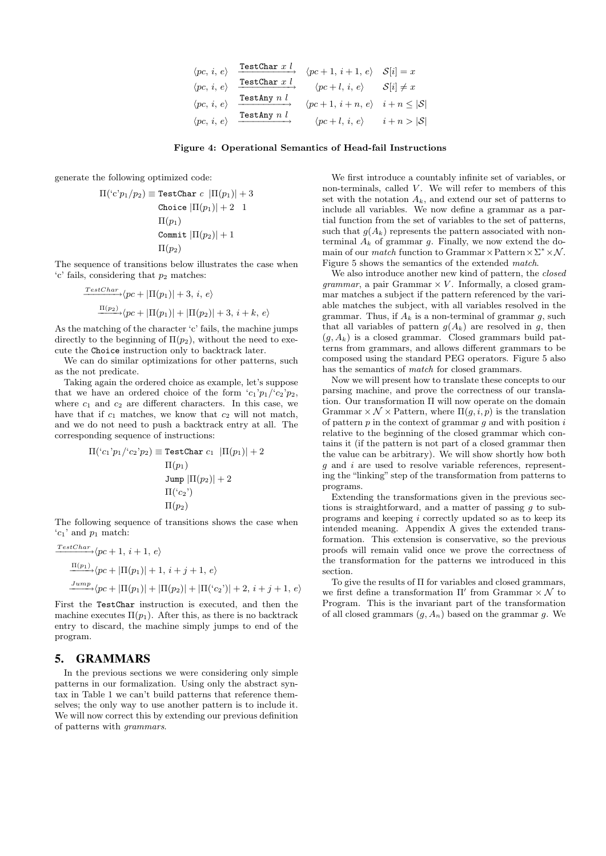| $\langle pc, i, e \rangle$ | $\mathtt{TestChar}\; x\; l$ | $\langle pc+1, i+1, e \rangle \quad \mathcal{S}[i] = x$ |                          |
|----------------------------|-----------------------------|---------------------------------------------------------|--------------------------|
| $\langle pc, i, e \rangle$ | $TestChar$ $x$ $l$          | $\langle pc+l, i, e \rangle$                            | $S[i] \neq x$            |
| $\langle pc, i, e \rangle$ | TestAny $n \; l$            | $\langle pc+1, i+n, e \rangle$                          | $i+n \leq  \mathcal{S} $ |
| $\langle pc, i, e \rangle$ | TestAny $n \; l$            | $\langle pc+l, i, e \rangle$                            | $i+n> S $                |

Figure 4: Operational Semantics of Head-fail Instructions

generate the following optimized code:

$$
\Pi(\text{`c'}p_1/p_2) \equiv \text{TestChar } c \ |\Pi(p_1)| + 3
$$
\n
$$
\text{Choice } |\Pi(p_1)| + 2 \ 1
$$
\n
$$
\Pi(p_1)
$$
\n
$$
\text{Commit } |\Pi(p_2)| + 1
$$
\n
$$
\Pi(p_2)
$$

The sequence of transitions below illustrates the case when 'c' fails, considering that  $p_2$  matches:

$$
\frac{TestChar}{(p_2)}\langle pc + |\Pi(p_1)| + 3, i, e \rangle
$$

$$
\frac{\Pi(p_2)}{(p_2)}\langle pc + |\Pi(p_1)| + |\Pi(p_2)| + 3, i + k, e \rangle
$$

As the matching of the character 'c' fails, the machine jumps directly to the beginning of  $\Pi(p_2)$ , without the need to execute the Choice instruction only to backtrack later.

We can do similar optimizations for other patterns, such as the not predicate.

Taking again the ordered choice as example, let's suppose that we have an ordered choice of the form  $c_1$ ' $p_1$ / $c_2$ ' $p_2$ , where  $c_1$  and  $c_2$  are different characters. In this case, we have that if  $c_1$  matches, we know that  $c_2$  will not match, and we do not need to push a backtrack entry at all. The corresponding sequence of instructions:

$$
\Pi({}^{\prime}c_{1}^{\prime}p_{1}/{}^{\prime}c_{2}^{\prime}p_{2}) \equiv \text{TestChar } c_{1} \left| \Pi(p_{1}) \right| + 2
$$

$$
\Pi(p_{1})
$$

$$
\text{Jump } |\Pi(p_{2})| + 2
$$

$$
\Pi({}^{\prime}c_{2}^{\prime})
$$

$$
\Pi(p_{2})
$$

The following sequence of transitions shows the case when  $c_1$ ' and  $p_1$  match:

$$
\frac{TestChar}{(pc+1, i+1, e)}
$$
  
\n
$$
\frac{\Pi(p_1)}{\Pi(p_1)} \langle pc + |\Pi(p_1)| + 1, i+j+1, e \rangle
$$
  
\n
$$
\frac{Jump}{(pc+|\Pi(p_1)|+|\Pi(p_2)|+|\Pi('c_2')|+2, i+j+1, e \rangle)}
$$

First the TestChar instruction is executed, and then the machine executes  $\Pi(p_1)$ . After this, as there is no backtrack entry to discard, the machine simply jumps to end of the program.

## 5. GRAMMARS

In the previous sections we were considering only simple patterns in our formalization. Using only the abstract syntax in Table 1 we can't build patterns that reference themselves; the only way to use another pattern is to include it. We will now correct this by extending our previous definition of patterns with grammars.

We first introduce a countably infinite set of variables, or non-terminals, called  $V$ . We will refer to members of this set with the notation  $A_k$ , and extend our set of patterns to include all variables. We now define a grammar as a partial function from the set of variables to the set of patterns, such that  $q(A_k)$  represents the pattern associated with nonterminal  $A_k$  of grammar g. Finally, we now extend the domain of our *match* function to Grammar  $\times$  Pattern  $\times \Sigma^* \times \mathcal{N}$ . Figure 5 shows the semantics of the extended match.

We also introduce another new kind of pattern, the *closed grammar*, a pair Grammar  $\times$  *V*. Informally, a closed grammar matches a subject if the pattern referenced by the variable matches the subject, with all variables resolved in the grammar. Thus, if  $A_k$  is a non-terminal of grammar g, such that all variables of pattern  $g(A_k)$  are resolved in g, then  $(g, A_k)$  is a closed grammar. Closed grammars build patterns from grammars, and allows different grammars to be composed using the standard PEG operators. Figure 5 also has the semantics of match for closed grammars.

Now we will present how to translate these concepts to our parsing machine, and prove the correctness of our translation. Our transformation Π will now operate on the domain Grammar  $\times N \times$  Pattern, where  $\Pi(g, i, p)$  is the translation of pattern  $p$  in the context of grammar  $q$  and with position  $i$ relative to the beginning of the closed grammar which contains it (if the pattern is not part of a closed grammar then the value can be arbitrary). We will show shortly how both g and i are used to resolve variable references, representing the "linking" step of the transformation from patterns to programs.

Extending the transformations given in the previous sections is straightforward, and a matter of passing  $q$  to subprograms and keeping i correctly updated so as to keep its intended meaning. Appendix A gives the extended transformation. This extension is conservative, so the previous proofs will remain valid once we prove the correctness of the transformation for the patterns we introduced in this section.

To give the results of Π for variables and closed grammars, we first define a transformation  $\Pi'$  from Grammar  $\times$   ${\cal N}$  to Program. This is the invariant part of the transformation of all closed grammars  $(g, A_n)$  based on the grammar g. We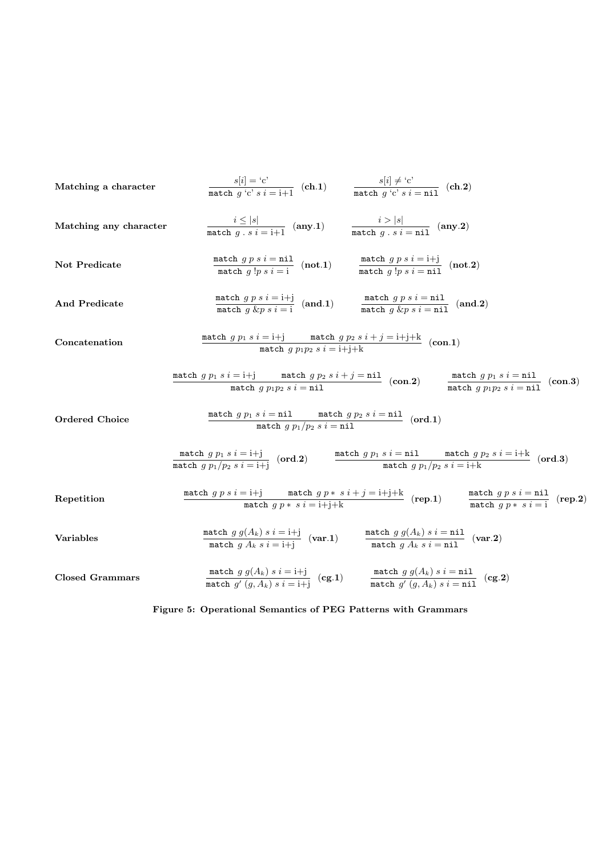| Matching a character   | $\frac{s[i] = 'c'}{\text{match } a 'c' s i = i+1} \quad (\text{ch.1}) \qquad \frac{s[i] \neq 'c'}{\text{match } a 'c' s i = n i!} \quad (\text{ch.2})$                                                                                                                |                                                                                                                                                                                                                                                                                                                                                                            |
|------------------------|-----------------------------------------------------------------------------------------------------------------------------------------------------------------------------------------------------------------------------------------------------------------------|----------------------------------------------------------------------------------------------------------------------------------------------------------------------------------------------------------------------------------------------------------------------------------------------------------------------------------------------------------------------------|
| Matching any character | $\frac{i \leq  s }{\text{match } a \cdot s \cdot i = i+1} \quad (\text{any.1}) \qquad \frac{i >  s }{\text{match } a \cdot s \cdot i = \text{nil}} \quad (\text{any.2})$                                                                                              |                                                                                                                                                                                                                                                                                                                                                                            |
| <b>Not Predicate</b>   | $\begin{array}{ll}\n\text{match} & g \ p \ s \ i = \text{nil} \\ \hline\n\text{match} & g \ \lfloor p \ s \ i = \text{i}\n\end{array}\n\quad\n(\text{not.1}) \qquad\n\begin{array}{ll}\n\text{match} & g \ p \ s \ i = \text{ii}\n\end{array}\n\quad\n(\text{not.2})$ |                                                                                                                                                                                                                                                                                                                                                                            |
| And Predicate          |                                                                                                                                                                                                                                                                       | $\frac{\text{match } g \ p \ s \ i = i + j}{\text{match } g \ \& p \ s \ i = i} \quad \text{(and.1)} \qquad \frac{\text{match } g \ p \ s \ i = \text{nil}}{\text{match } g \ \& p \ s \ i = \text{nil}} \quad \text{(and.2)}$                                                                                                                                             |
| Concatenation          | match $g p_1 s i = i + j$ match $g p_2 s i + j = i + j + k$<br>match $g p_1 p_2 s i = i + j + k$ (con.1)                                                                                                                                                              |                                                                                                                                                                                                                                                                                                                                                                            |
|                        |                                                                                                                                                                                                                                                                       | $\begin{array}{ll}\text{match}\ \ g\ p_1\ s\ i = \mathrm{i} + \mathrm{j} & \text{match}\ \ g\ p_2\ s\ i + \mathrm{j} = \mathrm{nil} \\ \text{match}\ \ g\ p_1p_2\ s\ i = \mathrm{nil} & \text{(con.2)}\\ \end{array}\qquad \begin{array}{ll}\text{match}\ \ g\ p_1\ s\ i = \mathrm{nil} \\ \text{match}\ \ g\ p_1p_2\ s\ i = \mathrm{nil} \end{array}\ \ (\mathrm{con.3})$ |
| Ordered Choice         | match $g p_1 s i = \text{nil}$ match $g p_2 s i = \text{nil}$ (ord.1)<br>match $g p_1 / p_2 s i = \text{nil}$ (ord.1)                                                                                                                                                 |                                                                                                                                                                                                                                                                                                                                                                            |
|                        |                                                                                                                                                                                                                                                                       | $\frac{\text{match }g p_1 s i = i + j}{\text{match }g p_1 / p_2 s i = i + i} \quad (\text{ord.2}) \qquad \frac{\text{match }g p_1 s i = \text{nil} \qquad \text{match }g p_2 s i = i + k}{\text{match }g p_1 / p_2 s i = i + k} \quad (\text{ord.3})$                                                                                                                      |
| Repetition             |                                                                                                                                                                                                                                                                       | $\begin{tabular}{ll} \hbox{match $g\ p\ s\ i = i + j$ & match $g\ p\ast\ s\ i + j = i + j + k$ \\ \hline \texttt{match} $g\ p\ast\ s\ i = i + j + k$ & (rep.1) & \begin{tabular}{ll} \texttt{match} $g\ p\ s\ i = \texttt{nil}$ \\ \texttt{match} $g\ p\ast\ s\ i = i + j + k$ \\ \end{tabular} \end{tabular} \tag{rep.2}$                                                 |
| <b>Variables</b>       |                                                                                                                                                                                                                                                                       | $\frac{\text{match } g g(A_k) s i = i + j}{\text{match } g A_k s i = i + i} \quad (\text{var.1}) \qquad \frac{\text{match } g g(A_k) s i = \text{nil}}{\text{match } g A_k s i = \text{nil}} \quad (\text{var.2})$                                                                                                                                                         |
| <b>Closed Grammars</b> |                                                                                                                                                                                                                                                                       | $\frac{\text{match } g g(A_k) s i = i + j}{\text{match } q' (q, A_k) s i = i + j}$ (cg.1) $\frac{\text{match } g g(A_k) s i = n i 1}{\text{match } q' (q, A_k) s i = n i 1}$ (cg.2)                                                                                                                                                                                        |

Figure 5: Operational Semantics of PEG Patterns with Grammars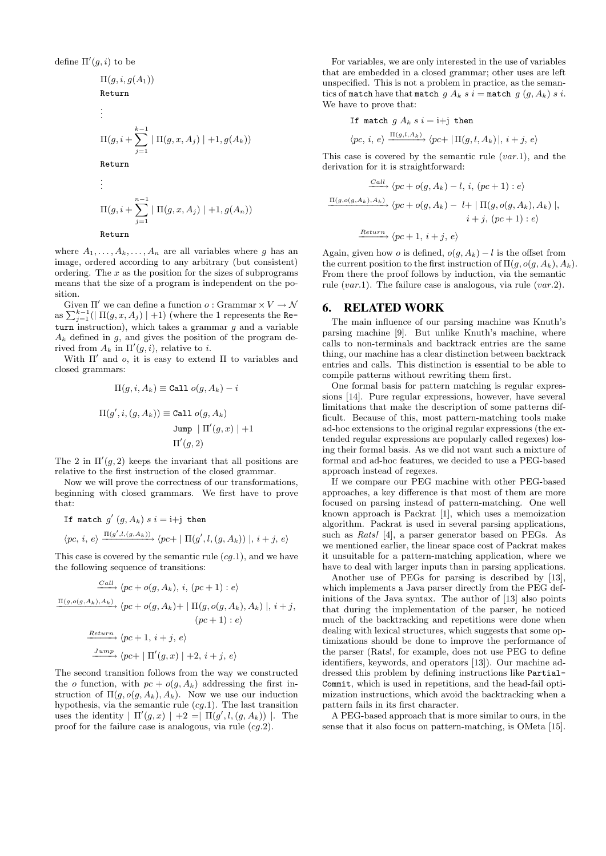define  $\Pi'(g, i)$  to be

$$
\Pi(g, i, g(A_1))
$$
  
\nReturn  
\n
$$
\vdots
$$
  
\n
$$
\Pi(g, i + \sum_{j=1}^{k-1} | \Pi(g, x, A_j) | +1, g(A_k))
$$
  
\nReturn  
\n
$$
\vdots
$$
  
\n
$$
\Pi(g, i + \sum_{j=1}^{n-1} | \Pi(g, x, A_j) | +1, g(A_n))
$$

Return

where  $A_1, \ldots, A_k, \ldots, A_n$  are all variables where g has an image, ordered according to any arbitrary (but consistent) ordering. The  $x$  as the position for the sizes of subprograms means that the size of a program is independent on the position.

Given  $\Pi'$  we can define a function  $o : \text{Grammar} \times V \to \mathcal{N}$ as  $\sum_{j=1}^{k-1}(|\Pi(g, x, A_j)|+1)$  (where the 1 represents the Return instruction), which takes a grammar  $g$  and a variable  $A_k$  defined in  $g$ , and gives the position of the program derived from  $A_k$  in  $\Pi'(g, i)$ , relative to *i*.

With  $\Pi'$  and o, it is easy to extend  $\Pi$  to variables and closed grammars:

$$
\Pi(g, i, A_k) \equiv \text{Call } o(g, A_k) - i
$$

$$
\Pi(g', i, (g, A_k)) \equiv \text{Call } o(g, A_k)
$$

$$
\text{Jump } | \Pi'(g, x) | + 1
$$

$$
\Pi'(g, 2)
$$

The 2 in  $\Pi'(g, 2)$  keeps the invariant that all positions are relative to the first instruction of the closed grammar.

Now we will prove the correctness of our transformations, beginning with closed grammars. We first have to prove that:

If match 
$$
g'(g, A_k) s i = i + j
$$
 then  
\n $\langle pc, i, e \rangle \xrightarrow{\Pi(g', l, (g, A_k))} \langle pc + | \Pi(g', l, (g, A_k)) |, i + j, e \rangle$ 

This case is covered by the semantic rule  $(cq.1)$ , and we have the following sequence of transitions:

$$
\frac{C \, all}{\prod(g, o(g, A_k), A_k)} \langle pc + o(g, A_k), i, (pc + 1) : e \rangle
$$
  

$$
\frac{\Pi(g, o(g, A_k), A_k)}{\langle pc + o(g, A_k) + |\Pi(g, o(g, A_k), A_k)|, i+j, (pc + 1) : e \rangle}
$$

$$
\xrightarrow{Return} \langle pc+1, i+j, e \rangle
$$
  

$$
\xrightarrow{Jump} \langle pc+ | \Pi'(g, x) | +2, i+j, e \rangle
$$

The second transition follows from the way we constructed the *o* function, with  $pc + o(g, A_k)$  addressing the first instruction of  $\Pi(g, o(g, A_k), A_k)$ . Now we use our induction hypothesis, via the semantic rule  $(cg.1)$ . The last transition uses the identity  $| \Pi'(g,x) | +2 = | \Pi(g',l,(g,A_k)) |$ . The proof for the failure case is analogous, via rule  $(cq.2)$ .

For variables, we are only interested in the use of variables that are embedded in a closed grammar; other uses are left unspecified. This is not a problem in practice, as the semantics of match have that match  $g A_k s i =$  match  $g (g, A_k) s i$ . We have to prove that:

If match 
$$
g A_k s i = i + j
$$
 then  
\n $\langle pc, i, e \rangle \xrightarrow{\Pi(g, l, A_k)} \langle pc + |\Pi(g, l, A_k)|, i + j, e \rangle$ 

This case is covered by the semantic rule  $(var.1)$ , and the derivation for it is straightforward:

$$
\frac{Call}{\Pi(g, o(g, A_k), A_k)} \langle pc + o(g, A_k) - l, i, (pc + 1) : e \rangle
$$
  

$$
\xrightarrow{\Pi(g, o(g, A_k), A_k)} \langle pc + o(g, A_k) - l + |\Pi(g, o(g, A_k), A_k)|,
$$
  

$$
i + j, (pc + 1) : e \rangle
$$
  

$$
\xrightarrow{Return} \langle pc + 1, i + j, e \rangle
$$

Again, given how o is defined,  $o(q, A_k) - l$  is the offset from the current position to the first instruction of  $\Pi(g, o(g, A_k), A_k)$ . From there the proof follows by induction, via the semantic rule  $(var.1)$ . The failure case is analogous, via rule  $(var.2)$ .

## 6. RELATED WORK

The main influence of our parsing machine was Knuth's parsing machine [9]. But unlike Knuth's machine, where calls to non-terminals and backtrack entries are the same thing, our machine has a clear distinction between backtrack entries and calls. This distinction is essential to be able to compile patterns without rewriting them first.

One formal basis for pattern matching is regular expressions [14]. Pure regular expressions, however, have several limitations that make the description of some patterns difficult. Because of this, most pattern-matching tools make ad-hoc extensions to the original regular expressions (the extended regular expressions are popularly called regexes) losing their formal basis. As we did not want such a mixture of formal and ad-hoc features, we decided to use a PEG-based approach instead of regexes.

If we compare our PEG machine with other PEG-based approaches, a key difference is that most of them are more focused on parsing instead of pattern-matching. One well known approach is Packrat [1], which uses a memoization algorithm. Packrat is used in several parsing applications, such as Rats! [4], a parser generator based on PEGs. As we mentioned earlier, the linear space cost of Packrat makes it unsuitable for a pattern-matching application, where we have to deal with larger inputs than in parsing applications.

Another use of PEGs for parsing is described by [13], which implements a Java parser directly from the PEG definitions of the Java syntax. The author of [13] also points that during the implementation of the parser, he noticed much of the backtracking and repetitions were done when dealing with lexical structures, which suggests that some optimizations should be done to improve the performance of the parser (Rats!, for example, does not use PEG to define identifiers, keywords, and operators [13]). Our machine addressed this problem by defining instructions like Partial-Commit, which is used in repetitions, and the head-fail optimization instructions, which avoid the backtracking when a pattern fails in its first character.

A PEG-based approach that is more similar to ours, in the sense that it also focus on pattern-matching, is OMeta [15].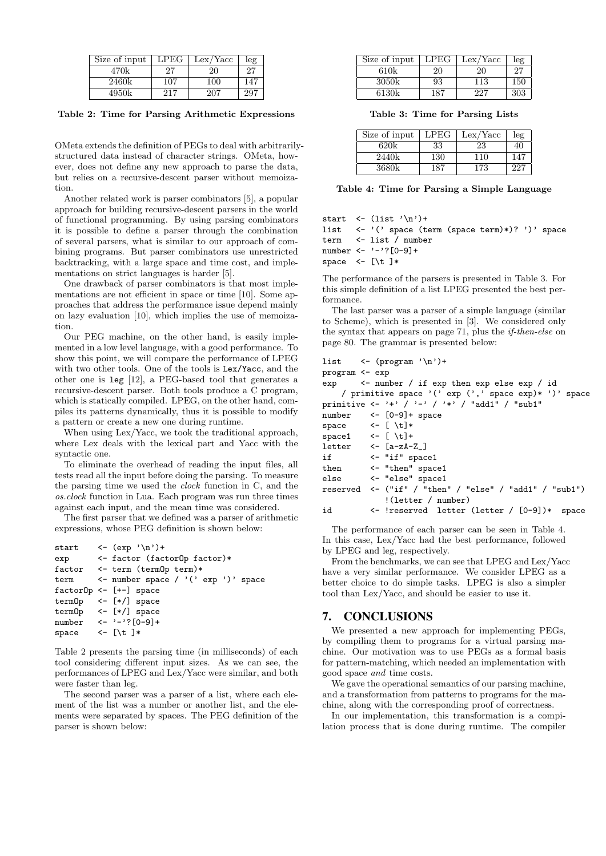| Size of input | LPEC | Lex/Yacc | leg |
|---------------|------|----------|-----|
| 470k          | 27   | 20       | 27  |
| 2460k         | 107  | 100      | 147 |
| 4950k         | 217  | 207      | 297 |

Table 2: Time for Parsing Arithmetic Expressions

OMeta extends the definition of PEGs to deal with arbitrarilystructured data instead of character strings. OMeta, however, does not define any new approach to parse the data, but relies on a recursive-descent parser without memoization.

Another related work is parser combinators [5], a popular approach for building recursive-descent parsers in the world of functional programming. By using parsing combinators it is possible to define a parser through the combination of several parsers, what is similar to our approach of combining programs. But parser combinators use unrestricted backtracking, with a large space and time cost, and implementations on strict languages is harder [5].

One drawback of parser combinators is that most implementations are not efficient in space or time [10]. Some approaches that address the performance issue depend mainly on lazy evaluation [10], which implies the use of memoization.

Our PEG machine, on the other hand, is easily implemented in a low level language, with a good performance. To show this point, we will compare the performance of LPEG with two other tools. One of the tools is Lex/Yacc, and the other one is leg [12], a PEG-based tool that generates a recursive-descent parser. Both tools produce a C program, which is statically compiled. LPEG, on the other hand, compiles its patterns dynamically, thus it is possible to modify a pattern or create a new one during runtime.

When using Lex/Yacc, we took the traditional approach, where Lex deals with the lexical part and Yacc with the syntactic one.

To eliminate the overhead of reading the input files, all tests read all the input before doing the parsing. To measure the parsing time we used the clock function in C, and the os.clock function in Lua. Each program was run three times against each input, and the mean time was considered.

The first parser that we defined was a parser of arithmetic expressions, whose PEG definition is shown below:

```
start \langle - \exp' \rangle<sup>+</sup>) +
exp <- factor (factorOp factor)*
factor <- term (termOp term)*
term <- number space / '(' exp ')' space
factorOp <- [+-] space
termOp <- [*/] space
          <- [*/] space
number \leftarrow '-'?[0-9]+
space \leftarrow [\t ]*
```
Table 2 presents the parsing time (in milliseconds) of each tool considering different input sizes. As we can see, the performances of LPEG and Lex/Yacc were similar, and both were faster than leg.

The second parser was a parser of a list, where each element of the list was a number or another list, and the elements were separated by spaces. The PEG definition of the parser is shown below:

| Size of input | <b>LPEG</b> | Lex/Yacc | leg |
|---------------|-------------|----------|-----|
| 610k          | 20          | 20       | 27  |
| 3050k         | 93          | 113      | 150 |
| 6130k         | -87         | 227      | 303 |

Table 3: Time for Parsing Lists

| Size of input | $_{\rm LPEG}$ | Lex/Yacc | leg |
|---------------|---------------|----------|-----|
| 620k          | 33            | 23       | 40  |
| 2440k         | 130           | 110      | 147 |
| 3680k         | 187           | 173      | 227 |

Table 4: Time for Parsing a Simple Language

```
start \leftarrow (list '\n')+
list \langle \cdot \rangle '(' space (term (space term)*)? ')' space
term <- list / number
number <- '-'?[0-9]+
space \leftarrow [\t ]*
```
The performance of the parsers is presented in Table 3. For this simple definition of a list LPEG presented the best performance.

The last parser was a parser of a simple language (similar to Scheme), which is presented in [3]. We considered only the syntax that appears on page 71, plus the if-then-else on page 80. The grammar is presented below:

```
list \langle - \text{ (program '}\n \rangle +program <- exp
exp <- number / if exp then exp else exp / id
    / primitive space '(' exp (',' space exp)* ')' space
primitive <- '+' / '-' / '*' / "add1" / "sub1"
number <- [0-9]+ space
space \leftarrow [\begin{array}{c} \backslash t \end{array}]*space1 \leftarrow [ \t]+
letter <- [a-zA-Z_]
if <- "if" space1
then \leq "then" space1
else <- "else" space1
reserved <- ("if" / "then" / "else" / "add1" / "sub1")
              !(letter / number)
id <- !reserved letter (letter / [0-9])* space
```
The performance of each parser can be seen in Table 4. In this case, Lex/Yacc had the best performance, followed by LPEG and leg, respectively.

From the benchmarks, we can see that LPEG and Lex/Yacc have a very similar performance. We consider LPEG as a better choice to do simple tasks. LPEG is also a simpler tool than Lex/Yacc, and should be easier to use it.

## 7. CONCLUSIONS

We presented a new approach for implementing PEGs, by compiling them to programs for a virtual parsing machine. Our motivation was to use PEGs as a formal basis for pattern-matching, which needed an implementation with good space and time costs.

We gave the operational semantics of our parsing machine, and a transformation from patterns to programs for the machine, along with the corresponding proof of correctness.

In our implementation, this transformation is a compilation process that is done during runtime. The compiler